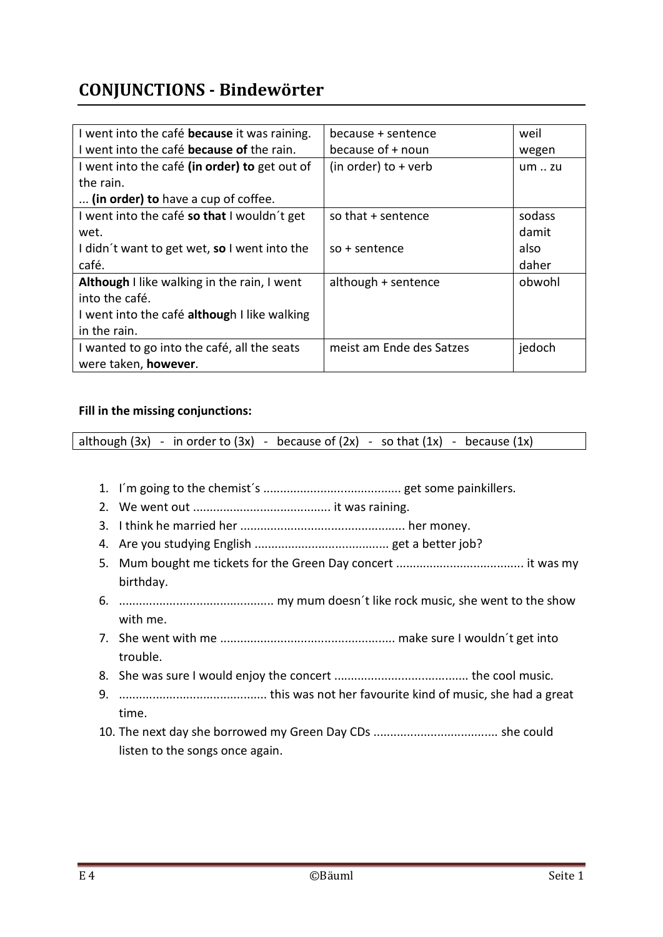## **CONJUNCTIONS - Bindewörter**

| I went into the café <b>because</b> it was raining. | because + sentence       | weil          |
|-----------------------------------------------------|--------------------------|---------------|
| I went into the café <b>because of</b> the rain.    | because of + noun        | wegen         |
| I went into the café (in order) to get out of       | (in order) to $+$ verb   | $um \dots zu$ |
| the rain.                                           |                          |               |
| (in order) to have a cup of coffee.                 |                          |               |
| I went into the café so that I wouldn't get         | so that + sentence       | sodass        |
| wet.                                                |                          | damit         |
| I didn't want to get wet, so I went into the        | $so + sentence$          | also          |
| café.                                               |                          | daher         |
| Although I like walking in the rain, I went         | although + sentence      | obwohl        |
| into the café.                                      |                          |               |
| I went into the café although I like walking        |                          |               |
| in the rain.                                        |                          |               |
| I wanted to go into the café, all the seats         | meist am Ende des Satzes | jedoch        |
| were taken, however.                                |                          |               |

## **Fill in the missing conjunctions:**

although  $(3x)$  - in order to  $(3x)$  - because of  $(2x)$  - so that  $(1x)$  - because  $(1x)$ 

- 1. I´m going to the chemist´s ......................................... get some painkillers.
- 2. We went out ......................................... it was raining.
- 3. I think he married her ................................................. her money.
- 4. Are you studying English ........................................ get a better job?
- 5. Mum bought me tickets for the Green Day concert ...................................... it was my birthday.
- 6. .............................................. my mum doesn´t like rock music, she went to the show with me.
- 7. She went with me .................................................... make sure I wouldn´t get into trouble.
- 8. She was sure I would enjoy the concert ........................................ the cool music.
- 9. ............................................ this was not her favourite kind of music, she had a great time.
- 10. The next day she borrowed my Green Day CDs ..................................... she could listen to the songs once again.